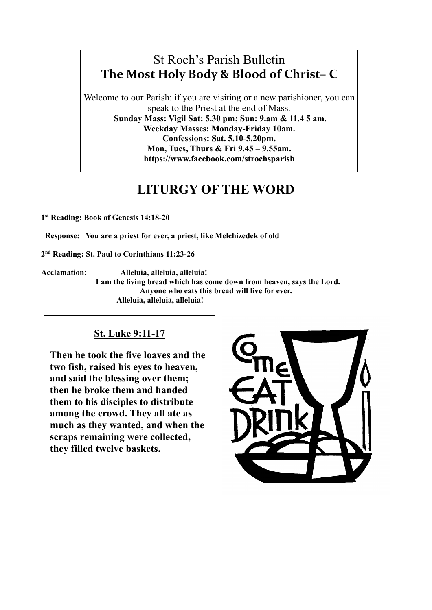## St Roch's Parish Bulletin **The Most Holy Body & Blood of Christ– C**

Welcome to our Parish: if you are visiting or a new parishioner, you can speak to the Priest at the end of Mass. **Sunday Mass: Vigil Sat: 5.30 pm; Sun: 9.am & 11.4 5 am. Weekday Masses: Monday-Friday 10am. Confessions: Sat. 5.10-5.20pm. Mon, Tues, Thurs & Fri 9.45 – 9.55am. https://www.facebook.com/strochsparish**

# **LITURGY OF THE WORD**

**1st Reading: Book of Genesis 14:18-20**

 **Response: You are a priest for ever, a priest, like Melchizedek of old** 

**2nd Reading: St. Paul to Corinthians 11:23-26**

**Acclamation: Alleluia, alleluia, alleluia! I am the living bread which has come down from heaven, says the Lord. Anyone who eats this bread will live for ever. Alleluia, alleluia, alleluia!**

### **St. Luke 9:11-17**

**Then he took the five loaves and the two fish, raised his eyes to heaven, and said the blessing over them; then he broke them and handed them to his disciples to distribute among the crowd. They all ate as much as they wanted, and when the scraps remaining were collected, they filled twelve baskets.**

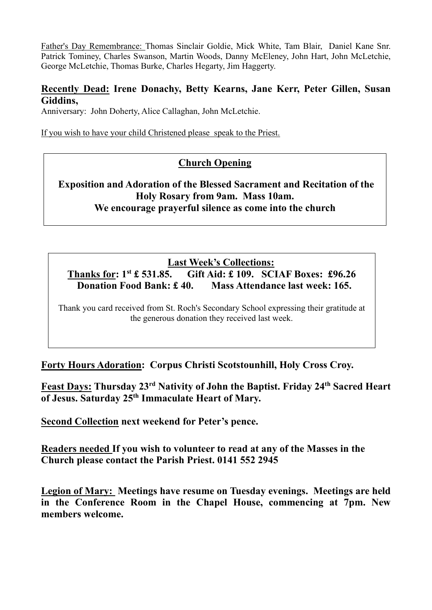Father's Day Remembrance: Thomas Sinclair Goldie, Mick White, Tam Blair, Daniel Kane Snr. Patrick Tominey, Charles Swanson, Martin Woods, Danny McEleney, John Hart, John McLetchie, George McLetchie, Thomas Burke, Charles Hegarty, Jim Haggerty.

#### **Recently Dead: Irene Donachy, Betty Kearns, Jane Kerr, Peter Gillen, Susan Giddins,**

Anniversary: John Doherty, Alice Callaghan, John McLetchie.

If you wish to have your child Christened please speak to the Priest.

### **Church Opening**

### **Exposition and Adoration of the Blessed Sacrament and Recitation of the Holy Rosary from 9am. Mass 10am. We encourage prayerful silence as come into the church**

### **Last Week's Collections:**

**Thanks for: 1st £ 531.85. Gift Aid: £ 109. SCIAF Boxes: £96.26 Donation Food Bank: £ 40. Mass Attendance last week: 165.**

Thank you card received from St. Roch's Secondary School expressing their gratitude at the generous donation they received last week.

**Forty Hours Adoration: Corpus Christi Scotstounhill, Holy Cross Croy.**

**Feast Days: Thursday 23rd Nativity of John the Baptist. Friday 24th Sacred Heart of Jesus. Saturday 25th Immaculate Heart of Mary.**

**Second Collection next weekend for Peter's pence.**

**Readers needed If you wish to volunteer to read at any of the Masses in the Church please contact the Parish Priest. 0141 552 2945**

**Legion of Mary: Meetings have resume on Tuesday evenings. Meetings are held in the Conference Room in the Chapel House, commencing at 7pm. New members welcome.**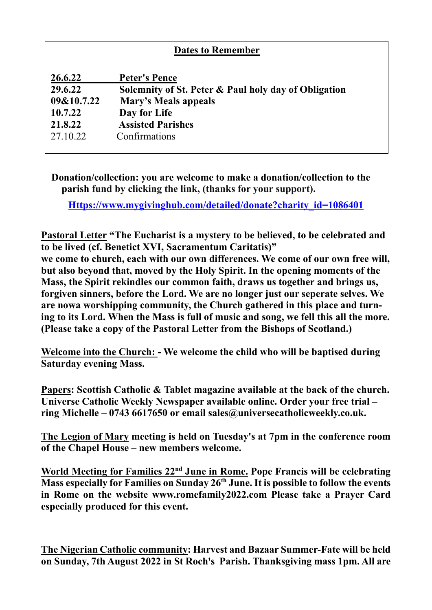| <b>Dates to Remember</b> |                                                      |
|--------------------------|------------------------------------------------------|
| 26.6.22                  | <b>Peter's Pence</b>                                 |
| 29.6.22                  | Solemnity of St. Peter & Paul holy day of Obligation |
| 09&10.7.22               | Mary's Meals appeals                                 |
| 10.7.22                  | Day for Life                                         |
| 21.8.22                  | <b>Assisted Parishes</b>                             |
| 27.10.22                 | Confirmations                                        |
|                          |                                                      |

**Donation/collection: you are welcome to make a donation/collection to the parish fund by clicking the link, (thanks for your support).**

**[Https://www.mygivinghub.com/detailed/donate?charity\\_id=1086401](https://www.mygivinghub.com/detailed/donate?charity_id=1086401)**

**Pastoral Letter "The Eucharist is a mystery to be believed, to be celebrated and to be lived (cf. Benetict XVI, Sacramentum Caritatis)"**

**we come to church, each with our own differences. We come of our own free will, but also beyond that, moved by the Holy Spirit. In the opening moments of the Mass, the Spirit rekindles our common faith, draws us together and brings us, forgiven sinners, before the Lord. We are no longer just our seperate selves. We are nowa worshipping community, the Church gathered in this place and turning to its Lord. When the Mass is full of music and song, we fell this all the more. (Please take a copy of the Pastoral Letter from the Bishops of Scotland.)**

**Welcome into the Church: - We welcome the child who will be baptised during Saturday evening Mass.**

**Papers: Scottish Catholic & Tablet magazine available at the back of the church. Universe Catholic Weekly Newspaper available online. Order your free trial – ring Michelle – 0743 6617650 or email sales@universecatholicweekly.co.uk.**

**The Legion of Mary meeting is held on Tuesday's at 7pm in the conference room of the Chapel House – new members welcome.**

**World Meeting for Families 22nd June in Rome. Pope Francis will be celebrating Mass especially for Families on Sunday 26th June. It is possible to follow the events in Rome on the website [www.romefamily2022.com](http://www.romefamily2022.com/) Please take a Prayer Card especially produced for this event.**

**The Nigerian Catholic community: Harvest and Bazaar Summer-Fate will be held on Sunday, 7th August 2022 in St Roch's Parish. Thanksgiving mass 1pm. All are**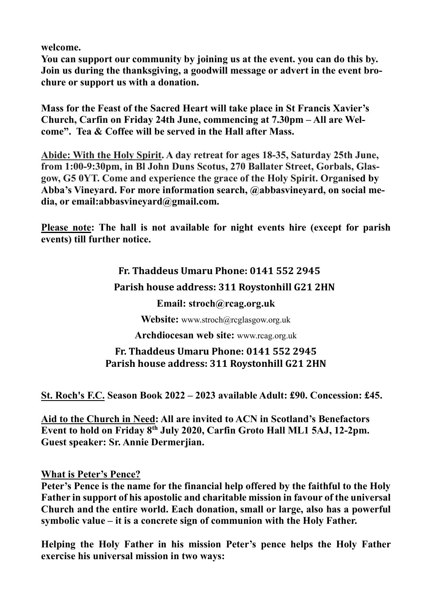**welcome.**

**You can support our community by joining us at the event. you can do this by. Join us during the thanksgiving, a goodwill message or advert in the event brochure or support us with a donation.**

**Mass for the Feast of the Sacred Heart will take place in St Francis Xavier's Church, Carfin on Friday 24th June, commencing at 7.30pm – All are Welcome". Tea & Coffee will be served in the Hall after Mass.**

**Abide: With the Holy Spirit. A day retreat for ages 18-35, Saturday 25th June, from 1:00-9:30pm, in Bl John Duns Scotus, 270 Ballater Street, Gorbals, Glasgow, G5 0YT. Come and experience the grace of the Holy Spirit. Organised by Abba's Vineyard. For more information search, @abbasvineyard, on social media, or email[:abbasvineyard@gmail.com.](mailto:abbasvineyard@gmail.com)**

**Please note: The hall is not available for night events hire (except for parish events) till further notice.**

# **Fr. Thaddeus Umaru Phone: 0141 552 2945 Parish house address: 311 Roystonhill G21 2HN Email: [stroch@rcag.org.uk](mailto:stroch@rcag.org.uk) Website:** [www.stroch@rcglasgow.org.uk](mailto:www.stroch@rcglasgow.org.uk) **Archdiocesan web site:** [www.rcag.org.uk](http://www.rcag.org.uk/)

### **Fr. Thaddeus Umaru Phone: 0141 552 2945 Parish house address: 311 Roystonhill G21 2HN**

**St. Roch's F.C. Season Book 2022 – 2023 available Adult: £90. Concession: £45.**

**Aid to the Church in Need: All are invited to ACN in Scotland's Benefactors Event to hold on Friday 8th July 2020, Carfin Groto Hall ML1 5AJ, 12-2pm. Guest speaker: Sr. Annie Dermerjian.**

### **What is Peter's Pence?**

**Peter's Pence is the name for the financial help offered by the faithful to the Holy Father in support of his apostolic and charitable mission in favour of the universal Church and the entire world. Each donation, small or large, also has a powerful symbolic value – it is a concrete sign of communion with the Holy Father.**

**Helping the Holy Father in his mission Peter's pence helps the Holy Father exercise his universal mission in two ways:**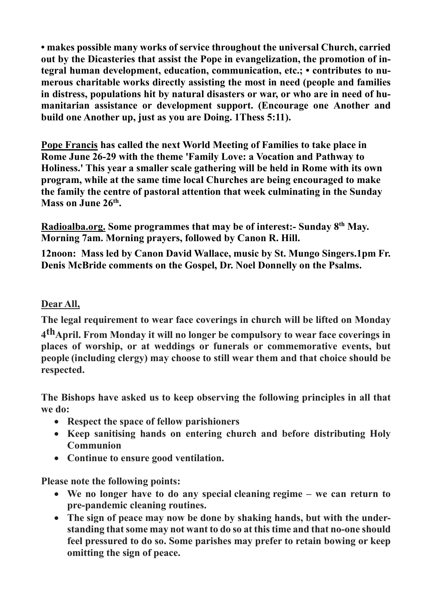**• makes possible many works of service throughout the universal Church, carried out by the Dicasteries that assist the Pope in evangelization, the promotion of integral human development, education, communication, etc.; • contributes to numerous charitable works directly assisting the most in need (people and families in distress, populations hit by natural disasters or war, or who are in need of humanitarian assistance or development support. (Encourage one Another and build one Another up, just as you are Doing. 1Thess 5:11).**

**Pope Francis has called the next World Meeting of Families to take place in Rome June 26-29 with the theme 'Family Love: a Vocation and Pathway to Holiness.' This year a smaller scale gathering will be held in Rome with its own program, while at the same time local Churches are being encouraged to make the family the centre of pastoral attention that week culminating in the Sunday Mass on June 26th.** 

**Radioalba.org. Some programmes that may be of interest:- Sunday 8th May. Morning 7am. Morning prayers, followed by Canon R. Hill.**

**12noon: Mass led by Canon David Wallace, music by St. Mungo Singers.1pm Fr. Denis McBride comments on the Gospel, Dr. Noel Donnelly on the Psalms.**

### **Dear All,**

**The legal requirement to wear face coverings in church will be lifted on Monday 4thApril. From Monday it will no longer be compulsory to wear face coverings in places of worship, or at weddings or funerals or commemorative events, but people (including clergy) may choose to still wear them and that choice should be respected.**

**The Bishops have asked us to keep observing the following principles in all that we do:**

- **Respect the space of fellow parishioners**
- **Keep sanitising hands on entering church and before distributing Holy Communion**
- **Continue to ensure good ventilation.**

**Please note the following points:**

- **We no longer have to do any special cleaning regime we can return to pre-pandemic cleaning routines.**
- **The sign of peace may now be done by shaking hands, but with the understanding that some may not want to do so at this time and that no-one should feel pressured to do so. Some parishes may prefer to retain bowing or keep omitting the sign of peace.**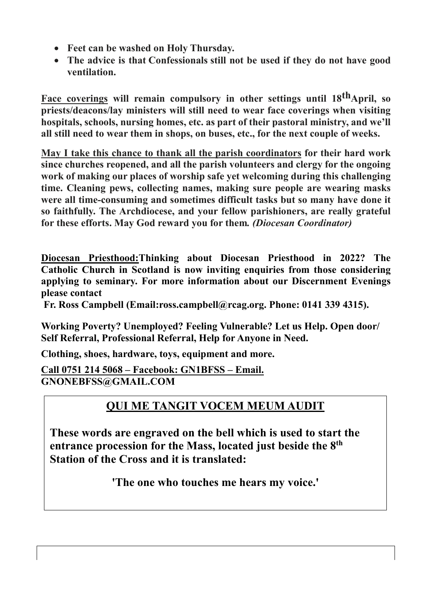- **Feet can be washed on Holy Thursday.**
- **The advice is that Confessionals still not be used if they do not have good ventilation.**

**Face coverings** will remain compulsory in other settings until 18<sup>th</sup>April, so **priests/deacons/lay ministers will still need to wear face coverings when visiting hospitals, schools, nursing homes, etc. as part of their pastoral ministry, and we'll all still need to wear them in shops, on buses, etc., for the next couple of weeks.**

**May I take this chance to thank all the parish coordinators for their hard work since churches reopened, and all the parish volunteers and clergy for the ongoing work of making our places of worship safe yet welcoming during this challenging time. Cleaning pews, collecting names, making sure people are wearing masks were all time-consuming and sometimes difficult tasks but so many have done it so faithfully. The Archdiocese, and your fellow parishioners, are really grateful for these efforts. May God reward you for them***. (Diocesan Coordinator)*

**Diocesan Priesthood:Thinking about Diocesan Priesthood in 2022? The Catholic Church in Scotland is now inviting enquiries from those considering applying to seminary. For more information about our Discernment Evenings please contact** 

**Fr. Ross Campbell (Email[:ross.campbell@rcag.org.](mailto:ross.campbell@rcag.org.u) Phone: 0141 339 4315).**

**Working Poverty? Unemployed? Feeling Vulnerable? Let us Help. Open door/ Self Referral, Professional Referral, Help for Anyone in Need.**

**Clothing, shoes, hardware, toys, equipment and more.**

**Call 0751 214 5068 – Facebook: GN1BFSS – Email. [GNONEBFSS@GMAIL.COM](mailto:GNONEBFSS@GMAIL.COM)** 

## **QUI ME TANGIT VOCEM MEUM AUDIT**

**These words are engraved on the bell which is used to start the entrance procession for the Mass, located just beside the 8th Station of the Cross and it is translated:**

**'The one who touches me hears my voice.'**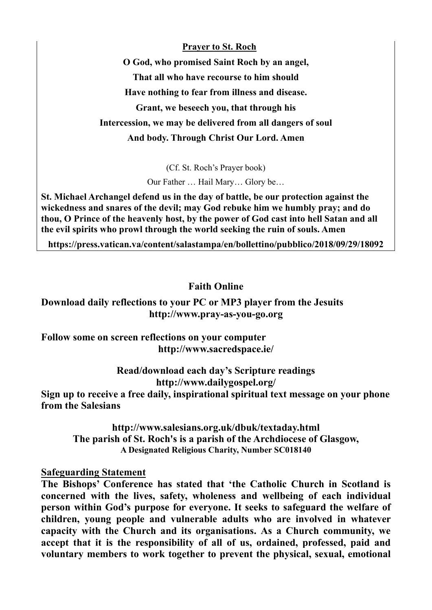**Prayer to St. Roch**

**O God, who promised Saint Roch by an angel, That all who have recourse to him should Have nothing to fear from illness and disease. Grant, we beseech you, that through his Intercession, we may be delivered from all dangers of soul And body. Through Christ Our Lord. Amen** 

(Cf. St. Roch's Prayer book)

Our Father … Hail Mary… Glory be…

**St. Michael Archangel defend us in the day of battle, be our protection against the wickedness and snares of the devil; may God rebuke him we humbly pray; and do thou, O Prince of the heavenly host, by the power of God cast into hell Satan and all the evil spirits who prowl through the world seeking the ruin of souls. Amen**

**<https://press.vatican.va/content/salastampa/en/bollettino/pubblico/2018/09/29/18092>**

#### **Faith Online**

#### **Download daily reflections to your PC or MP3 player from the Jesuits [http://www.pray-as-you-go.org](http://www.pray-as-you-go.org/)**

#### **Follow some on screen reflections on your computer <http://www.sacredspace.ie/>**

# **Read/download each day's Scripture readings**

**<http://www.dailygospel.org/>**

**Sign up to receive a free daily, inspirational spiritual text message on your phone from the Salesians**

**<http://www.salesians.org.uk/dbuk/textaday.html> The parish of St. Roch's is a parish of the Archdiocese of Glasgow, A Designated Religious Charity, Number SC018140** 

#### **Safeguarding Statement**

**The Bishops' Conference has stated that 'the Catholic Church in Scotland is concerned with the lives, safety, wholeness and wellbeing of each individual person within God's purpose for everyone. It seeks to safeguard the welfare of children, young people and vulnerable adults who are involved in whatever capacity with the Church and its organisations. As a Church community, we accept that it is the responsibility of all of us, ordained, professed, paid and voluntary members to work together to prevent the physical, sexual, emotional**